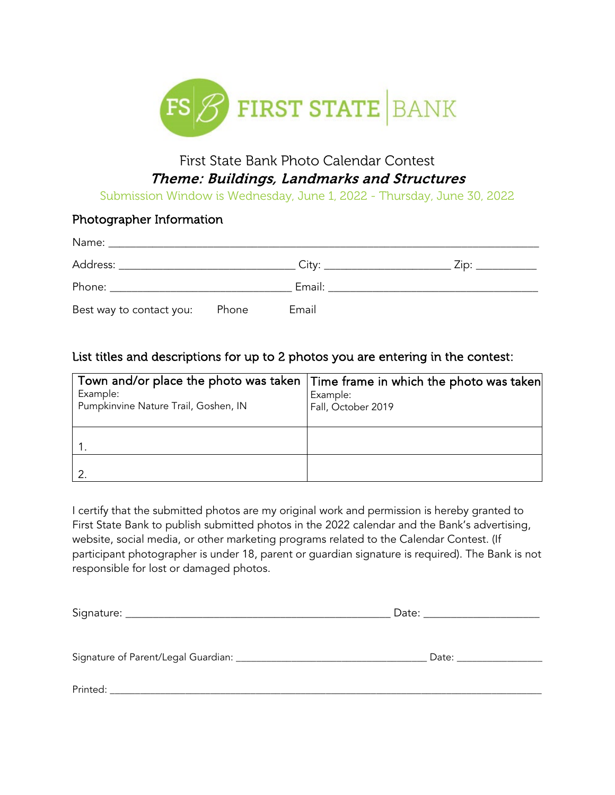

# First State Bank Photo Calendar Contest Theme: Buildings, Landmarks and Structures

Submission Window is Wednesday, June 1, 2022 - Thursday, June 30, 2022

#### Photographer Information

| Address: _________________________________ |       |       | City: _______________________<br>$\mathsf{Zip:} \_\_\_\_\_\_\_\_\_\_\_\_\_\_\_\$                                                                                                                                               |
|--------------------------------------------|-------|-------|--------------------------------------------------------------------------------------------------------------------------------------------------------------------------------------------------------------------------------|
|                                            |       |       | Email: Email: All and the state of the state of the state of the state of the state of the state of the state of the state of the state of the state of the state of the state of the state of the state of the state of the s |
| Best way to contact you:                   | Phone | Email |                                                                                                                                                                                                                                |

#### List titles and descriptions for up to 2 photos you are entering in the contest:

|                                      | Town and/or place the photo was taken   Time frame in which the photo was taken |
|--------------------------------------|---------------------------------------------------------------------------------|
| Example:                             | Example:                                                                        |
| Pumpkinvine Nature Trail, Goshen, IN | Fall, October 2019                                                              |
|                                      |                                                                                 |
|                                      |                                                                                 |
|                                      |                                                                                 |
|                                      |                                                                                 |
|                                      |                                                                                 |

I certify that the submitted photos are my original work and permission is hereby granted to First State Bank to publish submitted photos in the 2022 calendar and the Bank's advertising, website, social media, or other marketing programs related to the Calendar Contest. (If participant photographer is under 18, parent or guardian signature is required). The Bank is not responsible for lost or damaged photos.

|          | Date: and the contract of the contract of the contract of the contract of the contract of the contract of the contract of the contract of the contract of the contract of the contract of the contract of the contract of the |
|----------|-------------------------------------------------------------------------------------------------------------------------------------------------------------------------------------------------------------------------------|
|          | Date:                                                                                                                                                                                                                         |
| Printed: |                                                                                                                                                                                                                               |